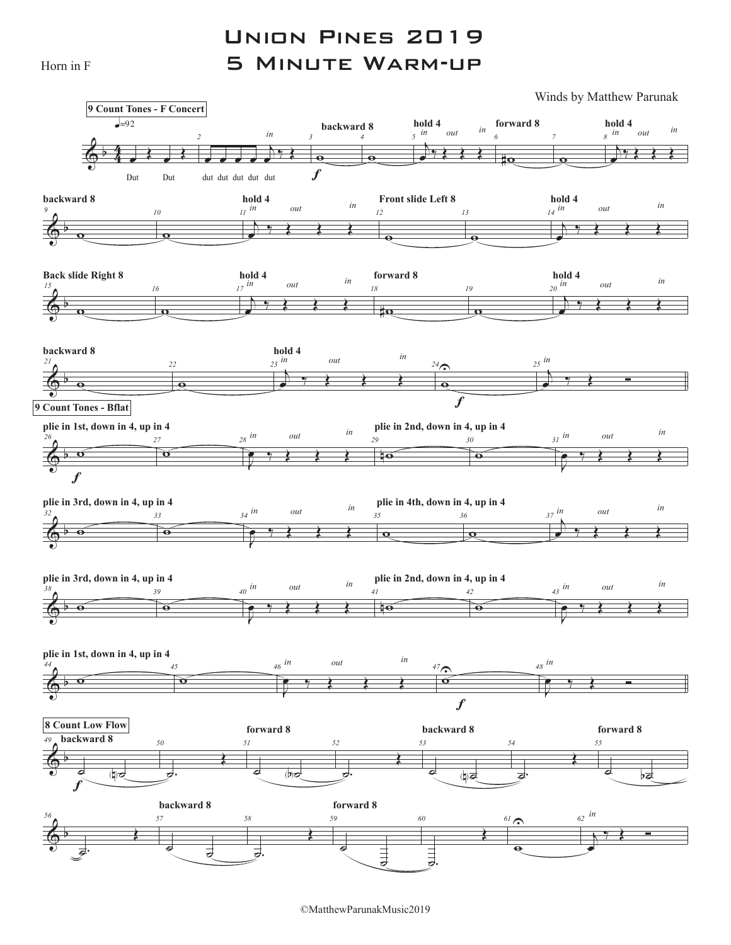Horn in F

## Union Pines 2019 5 Minute Warm-up

Winds by Matthew Parunak